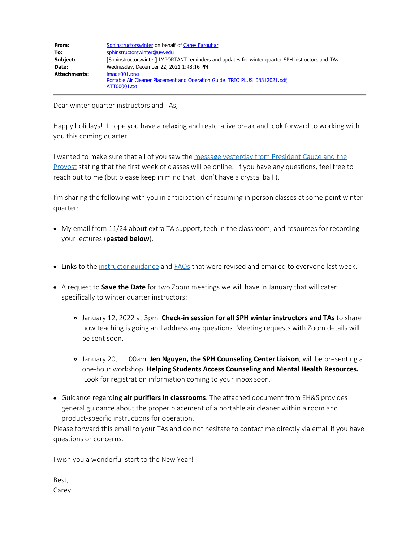| From:        | Sphinstructorswinter on behalf of Carey Farguhar                                                          |
|--------------|-----------------------------------------------------------------------------------------------------------|
| To:          | sphinstructorswinter@uw.edu                                                                               |
| Subject:     | [Sphinstructorswinter] IMPORTANT reminders and updates for winter quarter SPH instructors and TAs         |
| Date:        | Wednesday, December 22, 2021 1:48:16 PM                                                                   |
| Attachments: | image001.png<br>Portable Air Cleaner Placement and Operation Guide TRIO PLUS 08312021.pdf<br>ATT00001.txt |

Dear winter quarter instructors and TAs,

Happy holidays! I hope you have a relaxing and restorative break and look forward to working with you this coming quarter.

I wanted to make sure that all of you saw the message [yesterday](https://www.washington.edu/coronavirus/2021/12/21/most-classes-will-meet-online-the-first-week-of-winter-quarter-message-to-uw-students-and-personnel/) from President Cauce and the [Provost](https://www.washington.edu/coronavirus/2021/12/21/most-classes-will-meet-online-the-first-week-of-winter-quarter-message-to-uw-students-and-personnel/) stating that the first week of classes will be online. If you have any questions, feel free to reach out to me (but please keep in mind that I don't have a crystal ball ).

I'm sharing the following with you in anticipation of resuming in person classes at some point winter quarter:

- My email from 11/24 about extra TA support, tech in the classroom, and resources for recording your lectures (**pasted below**).
- Links to the [instructor](https://sph.washington.edu/sites/default/files/2021-12/UWSPH_WIN22_FINAL_Faculty_and_Instructors_Guidance_0.pdf) guidance and [FAQs](https://sph.washington.edu/sites/default/files/2021-12/UWSPH_WIN22_FINAL_Faculty_and_Instructor_FAQs_0.pdf) that were revised and emailed to everyone last week.
- A request to **Save the Date** for two Zoom meetings we will have in January that will cater specifically to winter quarter instructors:
	- January 12, 2022 at 3pm **Check-in session for all SPH winter instructors and TAs** to share how teaching is going and address any questions. Meeting requests with Zoom details will be sent soon.
	- January 20, 11:00am **Jen Nguyen, the SPH Counseling Center Liaison**, will be presenting a one-hour workshop: **Helping Students Access Counseling and Mental Health Resources.** Look for registration information coming to your inbox soon.
- Guidance regarding **air purifiers in classrooms**. The attached document from EH&S provides general guidance about the proper placement of a portable air cleaner within a room and product-specific instructions for operation.

Please forward this email to your TAs and do not hesitate to contact me directly via email if you have questions or concerns.

I wish you a wonderful start to the New Year!

Best, Carey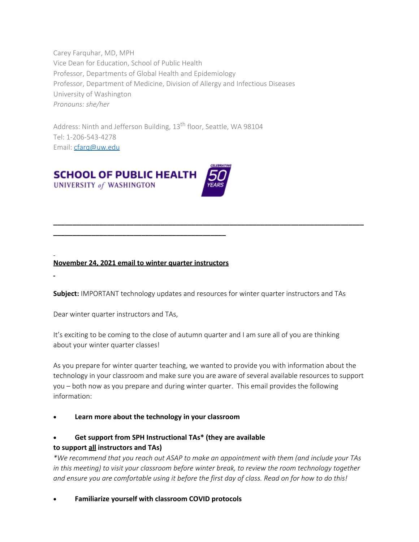Carey Farquhar, MD, MPH Vice Dean for Education, School of Public Health Professor, Departments of Global Health and Epidemiology Professor, Department of Medicine, Division of Allergy and Infectious Diseases University of Washington *Pronouns: she/her*

Address: Ninth and Jefferson Building, 13<sup>th</sup> floor, Seattle, WA 98104 Tel: 1-206-543-4278 Email: [cfarq@uw.edu](mailto:cfarq@uw.edu)



# **November 24, 2021 email to winter quarter instructors**

**\_\_\_\_\_\_\_\_\_\_\_\_\_\_\_\_\_\_\_\_\_\_\_\_\_\_\_\_\_\_\_\_\_\_\_\_\_\_\_\_\_\_\_\_\_**

**Subject:** IMPORTANT technology updates and resources for winter quarter instructors and TAs

**\_\_\_\_\_\_\_\_\_\_\_\_\_\_\_\_\_\_\_\_\_\_\_\_\_\_\_\_\_\_\_\_\_\_\_\_\_\_\_\_\_\_\_\_\_\_\_\_\_\_\_\_\_\_\_\_\_\_\_\_\_\_\_\_\_\_\_\_\_\_\_\_\_\_\_\_\_\_\_\_\_**

Dear winter quarter instructors and TAs,

It's exciting to be coming to the close of autumn quarter and I am sure all of you are thinking about your winter quarter classes!

As you prepare for winter quarter teaching, we wanted to provide you with information about the technology in your classroom and make sure you are aware of several available resources to support you – both now as you prepare and during winter quarter. This email provides the following information:

Learn more about the technology in your classroom

### · **Get support from SPH Instructional TAs\* (they are available to support all instructors and TAs)**

*\*We recommend that you reach out ASAP to make an appointment with them (and include your TAs in this meeting) to visit your classroom before winter break, to review the room technology together and ensure you are comfortable using it before the first day of class. Read on for how to do this!*

· **Familiarize yourself with classroom COVID protocols**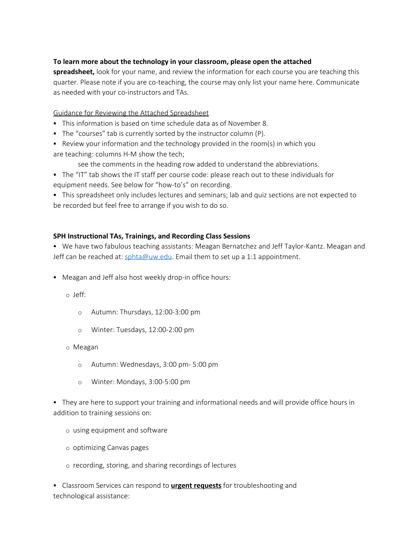## **To learn more about the technology in your classroom, please open the attached**

**spreadsheet,** look for your name, and review the information for each course you are teaching this quarter. Please note if you are co-teaching, the course may only list your name here. Communicate as needed with your co-instructors and TAs.

Guidance for Reviewing the Attached Spreadsheet

- § This information is based on time schedule data as of November 8.
- The "courses" tab is currently sorted by the instructor column (P).
- $\blacksquare$  Review your information and the technology provided in the room(s) in which you are teaching: columns H-M show the tech;
	- see the comments in the heading row added to understand the abbreviations.

§ The "IT" tab shows the IT staff per course code: please reach out to these individuals for equipment needs. See below for "how-to's" on recording.

§ This spreadsheet only includes lectures and seminars; lab and quiz sections are not expected to be recorded but feel free to arrange if you wish to do so.

### **SPH Instructional TAs, Trainings, and Recording Class Sessions**

§ We have two fabulous teaching assistants: Meagan Bernatchez and Jeff Taylor-Kantz. Meagan and Jeff can be reached at:  $sphta@uw.edu$ . Email them to set up a 1:1 appointment.

**•** Meagan and Jeff also host weekly drop-in office hours:

o Jeff:

- o Autumn: Thursdays, 12:00-3:00 pm
- o Winter: Tuesdays, 12:00-2:00 pm

o Meagan

- o Autumn: Wednesdays, 3:00 pm- 5:00 pm
- o Winter: Mondays, 3:00-5:00 pm

• They are here to support your training and informational needs and will provide office hours in addition to training sessions on:

- o using equipment and software
- o optimizing Canvas pages
- o recording, storing, and sharing recordings of lectures

§ Classroom Services can respond to **urgent requests** for troubleshooting and technological assistance: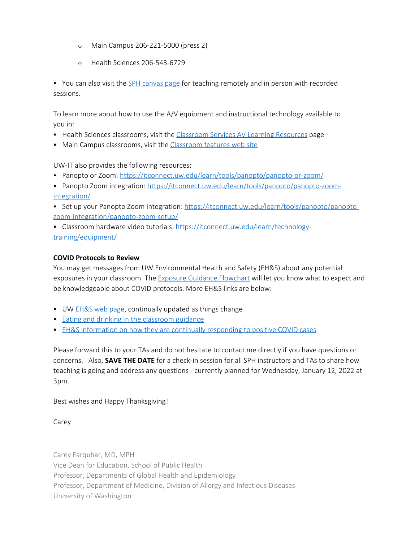- o Main Campus 206-221-5000 (press 2)
- o Health Sciences 206-543-6729

• You can also visit the SPH [canvas](https://canvas.uw.edu/courses/1393931) page for teaching remotely and in person with recorded sessions.

To learn more about how to use the A/V equipment and instructional technology available to you in:

- **Health Sciences classrooms, visit the [Classroom](https://hsasf.hsa.washington.edu/elementor-9693/) Services AV Learning Resources page**
- Main Campus classrooms, visit the [Classroom](https://www.washington.edu/classroom/) features web site

UW-IT also provides the following resources:

- Panopto or Zoom:<https://itconnect.uw.edu/learn/tools/panopto/panopto-or-zoom/>
- Panopto Zoom integration: [https://itconnect.uw.edu/learn/tools/panopto/panopto-zoom](https://itconnect.uw.edu/learn/tools/panopto/panopto-zoom-integration/)[integration/](https://itconnect.uw.edu/learn/tools/panopto/panopto-zoom-integration/)

• Set up your Panopto Zoom integration: [https://itconnect.uw.edu/learn/tools/panopto/panopto](https://itconnect.uw.edu/learn/tools/panopto/panopto-zoom-integration/panopto-zoom-setup/)[zoom-integration/panopto-zoom-setup/](https://itconnect.uw.edu/learn/tools/panopto/panopto-zoom-integration/panopto-zoom-setup/)

§ Classroom hardware video tutorials: [https://itconnect.uw.edu/learn/technology](https://itconnect.uw.edu/learn/technology-training/equipment/)[training/equipment/](https://itconnect.uw.edu/learn/technology-training/equipment/)

### **COVID Protocols to Review**

You may get messages from UW Environmental Health and Safety (EH&S) about any potential exposures in your classroom. The **Exposure Guidance [Flowchart](https://www.ehs.washington.edu/system/files/resources/COVID-19-public-health-flowchart.pdf)** will let you know what to expect and be knowledgeable about COVID protocols. More EH&S links are below:

- UW [EH&S web](https://www.ehs.washington.edu/covid-19-prevention-and-response/covid-19-health-and-safety-resources) page, continually updated as things change
- Eating and drinking in the [classroom guidance](https://www.ehs.washington.edu/system/files/resources/eating-space-guidance.pdf)
- **EH&S [information](https://www.washington.edu/coronavirus/2021/08/31/autumn-quarter-health-and-safety-measures-message-to-uw-personnel/#response) on how they are continually responding to positive COVID cases**

Please forward this to your TAs and do not hesitate to contact me directly if you have questions or concerns. Also, **SAVE THE DATE** for a check-in session for all SPH instructors and TAs to share how teaching is going and address any questions - currently planned for Wednesday, January 12, 2022 at 3pm.

Best wishes and Happy Thanksgiving!

Carey

Carey Farquhar, MD, MPH Vice Dean for Education, School of Public Health Professor, Departments of Global Health and Epidemiology Professor, Department of Medicine, Division of Allergy and Infectious Diseases University of Washington